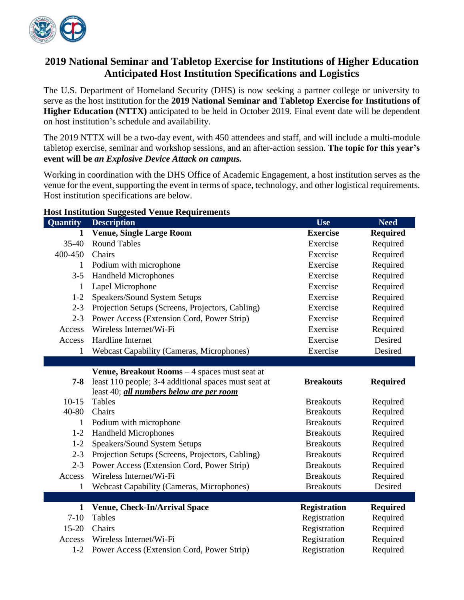

# **2019 National Seminar and Tabletop Exercise for Institutions of Higher Education Anticipated Host Institution Specifications and Logistics**

The U.S. Department of Homeland Security (DHS) is now seeking a partner college or university to serve as the host institution for the **2019 National Seminar and Tabletop Exercise for Institutions of Higher Education (NTTX)** anticipated to be held in October 2019. Final event date will be dependent on host institution's schedule and availability.

The 2019 NTTX will be a two-day event, with 450 attendees and staff, and will include a multi-module tabletop exercise, seminar and workshop sessions, and an after-action session. **The topic for this year's event will be** *an Explosive Device Attack on campus.*

Working in coordination with the DHS Office of Academic Engagement, a host institution serves as the venue for the event, supporting the event in terms of space, technology, and other logistical requirements. Host institution specifications are below.

## **Quantity Description Use Need 1 Venue, Single Large Room Exercise Required** 35-40 Round Tables Exercise Required 400-450 Chairs Exercise Required 1 Podium with microphone Exercise Required 3-5 Handheld Microphones Exercise Required 1 Lapel Microphone Exercise Required 1-2 Speakers/Sound System Setups Exercise Required 2-3 Projection Setups (Screens, Projectors, Cabling) Exercise Required 2-3 Power Access (Extension Cord, Power Strip) Exercise Required Access Wireless Internet/Wi-Fi Exercise Required Access Hardline Internet **Exercise** Desired 1 Webcast Capability (Cameras, Microphones) Exercise Desired **7-8** least 110 people; 3-4 additional spaces must seat at **Venue, Breakout Rooms** – 4 spaces must seat at least 40; *all numbers below are per room* **Breakouts Required** 10-15 Tables Breakouts Required 40-80 Chairs Required Executive Required Breakouts Required 1 Podium with microphone Breakouts Required 1-2 Handheld Microphones Breakouts Required 1-2 Speakers/Sound System Setups Breakouts Breakouts Required 2-3 Projection Setups (Screens, Projectors, Cabling) Breakouts Required 2-3 Power Access (Extension Cord, Power Strip) Breakouts Required Access Wireless Internet/Wi-Fi Breakouts Required 1 Webcast Capability (Cameras, Microphones) Breakouts Desired 1 **Venue, Check-In/Arrival Space Registration Required** 7-10 Tables Registration Required 15-20 Chairs Registration Required Access Wireless Internet/Wi-Fi Registration Required 1-2 Power Access (Extension Cord, Power Strip) Registration Required

#### **Host Institution Suggested Venue Requirements**